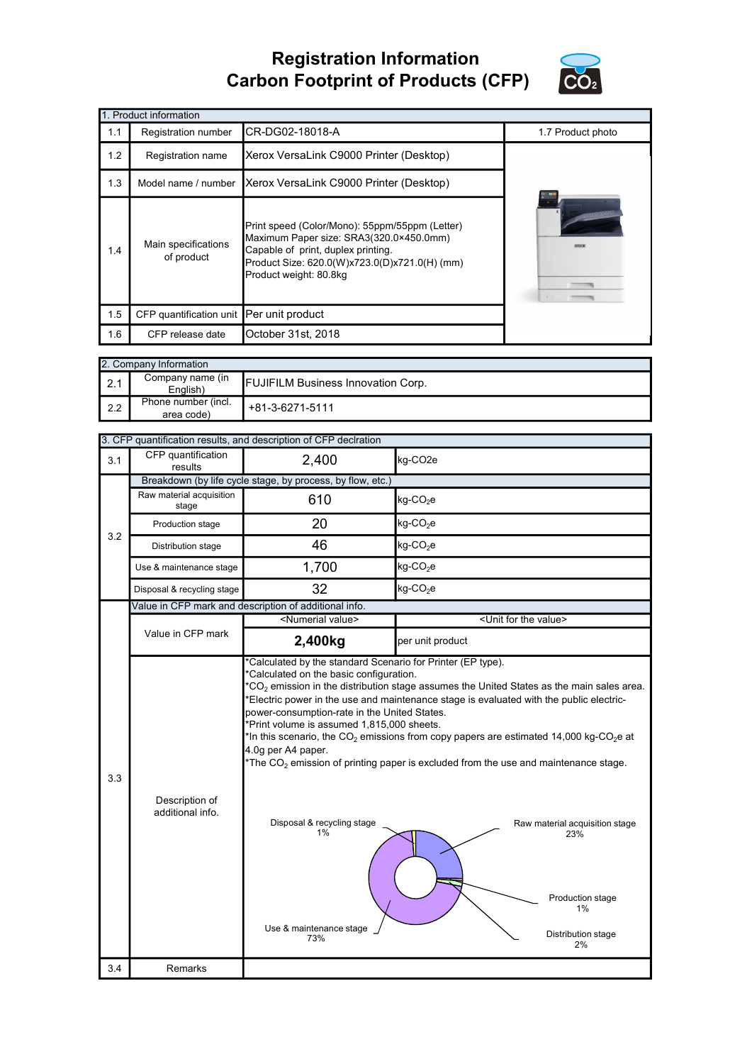## Registration Information Carbon Footprint of Products (CFP)



|     | 1. Product information                   |                                                                                                                                                                                                            |                   |  |  |  |
|-----|------------------------------------------|------------------------------------------------------------------------------------------------------------------------------------------------------------------------------------------------------------|-------------------|--|--|--|
| 1.1 | Registration number                      | CR-DG02-18018-A                                                                                                                                                                                            | 1.7 Product photo |  |  |  |
| 1.2 | Registration name                        | Xerox VersaLink C9000 Printer (Desktop)                                                                                                                                                                    |                   |  |  |  |
| 1.3 | Model name / number                      | Xerox VersaLink C9000 Printer (Desktop)                                                                                                                                                                    |                   |  |  |  |
| 1.4 | Main specifications<br>of product        | Print speed (Color/Mono): 55ppm/55ppm (Letter)<br>Maximum Paper size: SRA3(320.0×450.0mm)<br>Capable of print, duplex printing.<br>Product Size: 620.0(W)x723.0(D)x721.0(H) (mm)<br>Product weight: 80.8kg |                   |  |  |  |
| 1.5 | CFP quantification unit Per unit product |                                                                                                                                                                                                            |                   |  |  |  |
| 1.6 | CFP release date                         | October 31st, 2018                                                                                                                                                                                         |                   |  |  |  |

|                  | 2. Company Information            |                                           |  |  |  |
|------------------|-----------------------------------|-------------------------------------------|--|--|--|
| $\vert$ 2.1      | Company name (in<br>English)      | <b>FUJIFILM Business Innovation Corp.</b> |  |  |  |
| $\mathsf{I}$ 2.2 | Phone number (incl.<br>area code) | +81-3-6271-5111                           |  |  |  |

| CFP quantification<br>2,400<br>kg-CO <sub>2e</sub><br>3.1<br>results<br>Breakdown (by life cycle stage, by process, by flow, etc.)<br>Raw material acquisition<br>610<br>kg-CO <sub>2</sub> e<br>stage<br>20<br>$kg$ -CO <sub>2</sub> e<br>Production stage<br>3.2<br>46<br>kg-CO <sub>2</sub> e<br>Distribution stage<br>1,700<br>$kg$ -CO <sub>2</sub> e<br>Use & maintenance stage<br>32<br>$kg$ -CO <sub>2</sub> e<br>Disposal & recycling stage<br>Value in CFP mark and description of additional info.<br><numerial value=""><br/><unit for="" the="" value=""><br/>Value in CFP mark<br/>2,400kg<br/>per unit product<br/>*Calculated by the standard Scenario for Printer (EP type).<br/>*Calculated on the basic configuration.<br/><math>^{\star}CO_{2}</math> emission in the distribution stage assumes the United States as the main sales area.<br/>*Electric power in the use and maintenance stage is evaluated with the public electric-<br/>power-consumption-rate in the United States.<br/>*Print volume is assumed 1,815,000 sheets.<br/>*In this scenario, the <math>CO_2</math> emissions from copy papers are estimated 14,000 kg-CO<sub>2</sub>e at<br/>4.0g per A4 paper.<br/>The <math>CO2</math> emission of printing paper is excluded from the use and maintenance stage.<br/>3.3<br/>Description of<br/>additional info.<br/>Disposal &amp; recycling stage<br/>1%<br/>Raw material acquisition stage<br/>23%<br/>Production stage<br/>1%<br/>Use &amp; maintenance stage<br/>Distribution stage<br/>73%<br/>2%<br/>3.4<br/><b>Remarks</b></unit></numerial> |  |  | 3. CFP quantification results, and description of CFP declration |  |  |  |
|----------------------------------------------------------------------------------------------------------------------------------------------------------------------------------------------------------------------------------------------------------------------------------------------------------------------------------------------------------------------------------------------------------------------------------------------------------------------------------------------------------------------------------------------------------------------------------------------------------------------------------------------------------------------------------------------------------------------------------------------------------------------------------------------------------------------------------------------------------------------------------------------------------------------------------------------------------------------------------------------------------------------------------------------------------------------------------------------------------------------------------------------------------------------------------------------------------------------------------------------------------------------------------------------------------------------------------------------------------------------------------------------------------------------------------------------------------------------------------------------------------------------------------------------------------------------------------------------|--|--|------------------------------------------------------------------|--|--|--|
|                                                                                                                                                                                                                                                                                                                                                                                                                                                                                                                                                                                                                                                                                                                                                                                                                                                                                                                                                                                                                                                                                                                                                                                                                                                                                                                                                                                                                                                                                                                                                                                              |  |  |                                                                  |  |  |  |
|                                                                                                                                                                                                                                                                                                                                                                                                                                                                                                                                                                                                                                                                                                                                                                                                                                                                                                                                                                                                                                                                                                                                                                                                                                                                                                                                                                                                                                                                                                                                                                                              |  |  |                                                                  |  |  |  |
|                                                                                                                                                                                                                                                                                                                                                                                                                                                                                                                                                                                                                                                                                                                                                                                                                                                                                                                                                                                                                                                                                                                                                                                                                                                                                                                                                                                                                                                                                                                                                                                              |  |  |                                                                  |  |  |  |
|                                                                                                                                                                                                                                                                                                                                                                                                                                                                                                                                                                                                                                                                                                                                                                                                                                                                                                                                                                                                                                                                                                                                                                                                                                                                                                                                                                                                                                                                                                                                                                                              |  |  |                                                                  |  |  |  |
|                                                                                                                                                                                                                                                                                                                                                                                                                                                                                                                                                                                                                                                                                                                                                                                                                                                                                                                                                                                                                                                                                                                                                                                                                                                                                                                                                                                                                                                                                                                                                                                              |  |  |                                                                  |  |  |  |
|                                                                                                                                                                                                                                                                                                                                                                                                                                                                                                                                                                                                                                                                                                                                                                                                                                                                                                                                                                                                                                                                                                                                                                                                                                                                                                                                                                                                                                                                                                                                                                                              |  |  |                                                                  |  |  |  |
|                                                                                                                                                                                                                                                                                                                                                                                                                                                                                                                                                                                                                                                                                                                                                                                                                                                                                                                                                                                                                                                                                                                                                                                                                                                                                                                                                                                                                                                                                                                                                                                              |  |  |                                                                  |  |  |  |
|                                                                                                                                                                                                                                                                                                                                                                                                                                                                                                                                                                                                                                                                                                                                                                                                                                                                                                                                                                                                                                                                                                                                                                                                                                                                                                                                                                                                                                                                                                                                                                                              |  |  |                                                                  |  |  |  |
|                                                                                                                                                                                                                                                                                                                                                                                                                                                                                                                                                                                                                                                                                                                                                                                                                                                                                                                                                                                                                                                                                                                                                                                                                                                                                                                                                                                                                                                                                                                                                                                              |  |  |                                                                  |  |  |  |
|                                                                                                                                                                                                                                                                                                                                                                                                                                                                                                                                                                                                                                                                                                                                                                                                                                                                                                                                                                                                                                                                                                                                                                                                                                                                                                                                                                                                                                                                                                                                                                                              |  |  |                                                                  |  |  |  |
|                                                                                                                                                                                                                                                                                                                                                                                                                                                                                                                                                                                                                                                                                                                                                                                                                                                                                                                                                                                                                                                                                                                                                                                                                                                                                                                                                                                                                                                                                                                                                                                              |  |  |                                                                  |  |  |  |
|                                                                                                                                                                                                                                                                                                                                                                                                                                                                                                                                                                                                                                                                                                                                                                                                                                                                                                                                                                                                                                                                                                                                                                                                                                                                                                                                                                                                                                                                                                                                                                                              |  |  |                                                                  |  |  |  |